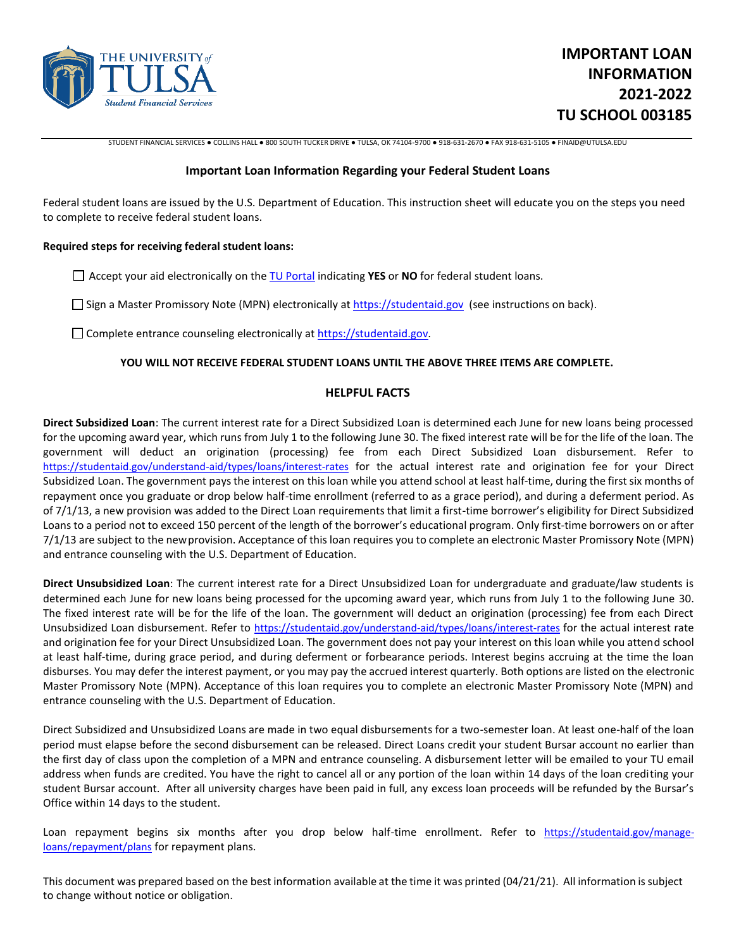

STUDENT FINANCIAL SERVICES ● COLLINS HALL ● 800 SOUTH TUCKER DRIVE ● TULSA, OK 74104-9700 ● 918-631-2670 ● FAX 918-631-5105 ● FINAID@UTULSA.EDU

#### **Important Loan Information Regarding your Federal Student Loans**

Federal student loans are issued by the U.S. Department of Education. This instruction sheet will educate you on the steps you need to complete to receive federal student loans.

#### **Required steps for receiving federal student loans:**

Accept your aid electronically on the [TU Portal](https://utulsa.edu/information-technology/applications/) indicating **YES** or **NO** for federal student loans.

 $\square$  Sign a Master Promissory Note (MPN) electronically at [https://studentaid.gov](https://studentaid.gov/) (see instructions on back).

 $\Box$  Complete entrance counseling electronically at  $\frac{https://studentaid.gov.}{https://studentaid.gov.}$ 

# **YOU WILL NOT RECEIVE FEDERAL STUDENT LOANS UNTIL THE ABOVE THREE ITEMS ARE COMPLETE.**

### **HELPFUL FACTS**

**Direct Subsidized Loan**: The current interest rate for a Direct Subsidized Loan is determined each June for new loans being processed for the upcoming award year, which runs from July 1 to the following June 30. The fixed interest rate will be for the life of the loan. The government will deduct an origination (processing) fee from each Direct Subsidized Loan disbursement. Refer to <https://studentaid.gov/understand-aid/types/loans/interest-rates> for the actual interest rate and origination fee for your Direct Subsidized Loan. The government pays the interest on this loan while you attend school at least half-time, during the first six months of repayment once you graduate or drop below half-time enrollment (referred to as a grace period), and during a deferment period. As of 7/1/13, a new provision was added to the Direct Loan requirements that limit a first-time borrower's eligibility for Direct Subsidized Loans to a period not to exceed 150 percent of the length of the borrower's educational program. Only first-time borrowers on or after 7/1/13 are subject to the newprovision. Acceptance of this loan requires you to complete an electronic Master Promissory Note (MPN) and entrance counseling with the U.S. Department of Education.

**Direct Unsubsidized Loan**: The current interest rate for a Direct Unsubsidized Loan for undergraduate and graduate/law students is determined each June for new loans being processed for the upcoming award year, which runs from July 1 to the following June 30. The fixed interest rate will be for the life of the loan. The government will deduct an origination (processing) fee from each Direct Unsubsidized Loan disbursement. Refer to <https://studentaid.gov/understand-aid/types/loans/interest-rates> for the actual interest rate and origination fee for your Direct Unsubsidized Loan. The government does not pay your interest on this loan while you attend school at least half-time, during grace period, and during deferment or forbearance periods. Interest begins accruing at the time the loan disburses. You may defer the interest payment, or you may pay the accrued interest quarterly. Both options are listed on the electronic Master Promissory Note (MPN). Acceptance of this loan requires you to complete an electronic Master Promissory Note (MPN) and entrance counseling with the U.S. Department of Education.

Direct Subsidized and Unsubsidized Loans are made in two equal disbursements for a two-semester loan. At least one-half of the loan period must elapse before the second disbursement can be released. Direct Loans credit your student Bursar account no earlier than the first day of class upon the completion of a MPN and entrance counseling. A disbursement letter will be emailed to your TU email address when funds are credited. You have the right to cancel all or any portion of the loan within 14 days of the loan crediting your student Bursar account. After all university charges have been paid in full, any excess loan proceeds will be refunded by the Bursar's Office within 14 days to the student.

Loan repayment begins six months after you drop below half-time enrollment. Refer to [https://studentaid.gov/manage](https://studentaid.gov/manage-loans/repayment/plans)[loans/repayment/plans](https://studentaid.gov/manage-loans/repayment/plans) for repayment plans.

This document was prepared based on the best information available at the time it was printed (04/21/21). All information issubject to change without notice or obligation.